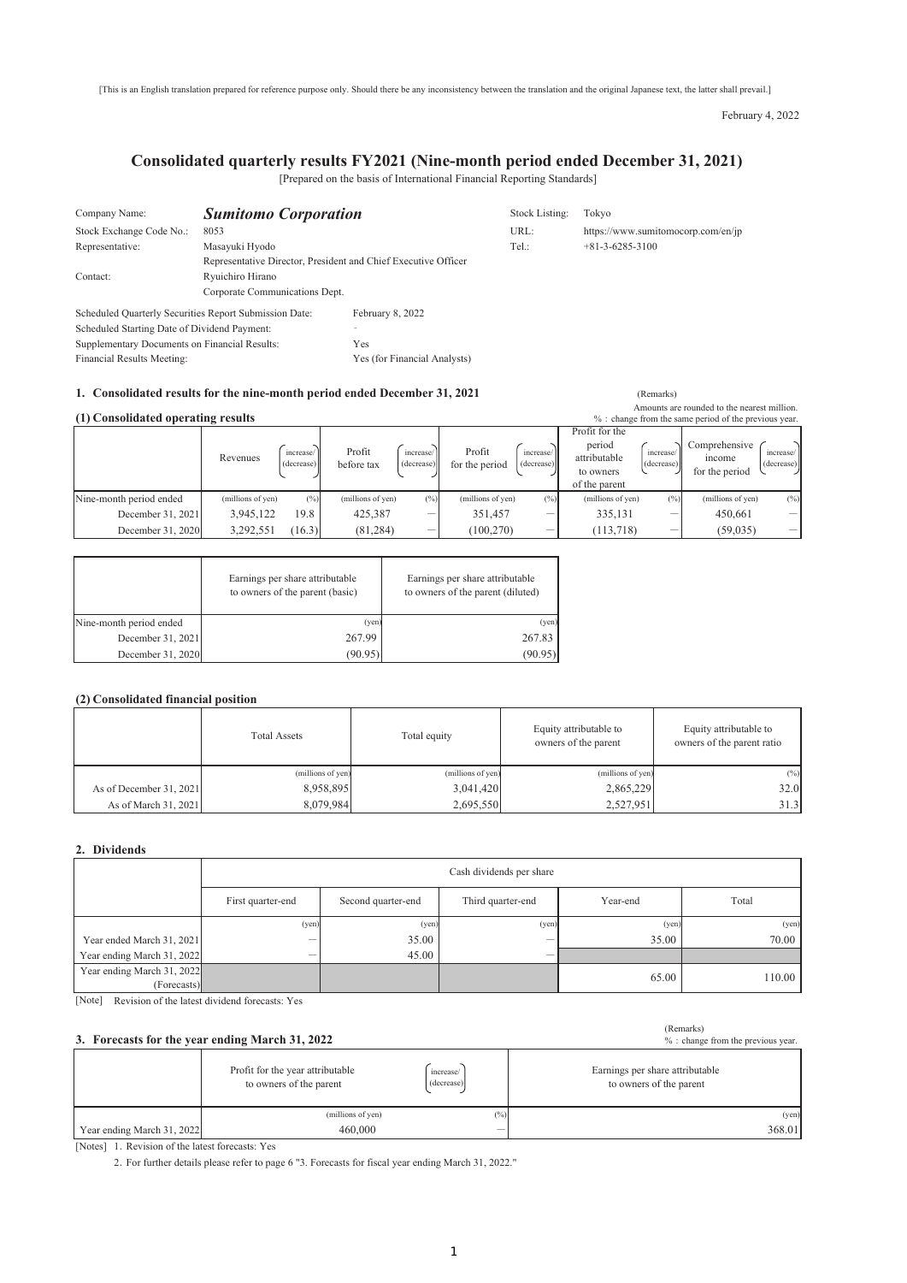[This is an English translation prepared for reference purpose only. Should there be any inconsistency between the translation and the original Japanese text, the latter shall prevail.]

February 4, 2022

## **Consolidated quarterly results FY2021 (Nine-month period ended December 31, 2021)**

[Prepared on the basis of International Financial Reporting Standards]

| Company Name:                                          | <b>Sumitomo Corporation</b>    |                                                                | Stock Listing: | Tokvo                              |
|--------------------------------------------------------|--------------------------------|----------------------------------------------------------------|----------------|------------------------------------|
| Stock Exchange Code No.:                               | 8053                           |                                                                | URL:           | https://www.sumitomocorp.com/en/jp |
| Representative:                                        | Masayuki Hyodo                 |                                                                | Tel.:          | $+81-3-6285-3100$                  |
|                                                        |                                | Representative Director, President and Chief Executive Officer |                |                                    |
| Contact:                                               | Ryuichiro Hirano               |                                                                |                |                                    |
|                                                        | Corporate Communications Dept. |                                                                |                |                                    |
| Scheduled Quarterly Securities Report Submission Date: |                                | February 8, 2022                                               |                |                                    |
| Scheduled Starting Date of Dividend Payment:           |                                |                                                                |                |                                    |
| Supplementary Documents on Financial Results:          |                                | Yes                                                            |                |                                    |
| Financial Results Meeting:                             |                                | Yes (for Financial Analysts)                                   |                |                                    |

#### **1. Consolidated results for the nine-month period ended December 31, 2021** (Remarks)

| Amounts are rounded to the nearest million.<br>(1) Consolidated operating results<br>% : change from the same period of the previous year. |                   |                         |                      |                          |                          |                          |                                                                        |                         |                                           |                         |
|--------------------------------------------------------------------------------------------------------------------------------------------|-------------------|-------------------------|----------------------|--------------------------|--------------------------|--------------------------|------------------------------------------------------------------------|-------------------------|-------------------------------------------|-------------------------|
|                                                                                                                                            | Revenues          | increase/<br>(decrease) | Profit<br>before tax | increase/<br>(decrease)  | Profit<br>for the period | increase/<br>(decrease)  | Profit for the<br>period<br>attributable<br>to owners<br>of the parent | increase/<br>(decrease) | Comprehensive<br>income<br>for the period | increase/<br>(decrease) |
| Nine-month period ended                                                                                                                    | (millions of yen) | $(^{0}/_{0})$           | (millions of yen)    | (%)                      | (millions of yen)        | (%)                      | (millions of yen)                                                      | (%)                     | (millions of yen)                         | (%)                     |
| December 31, 2021                                                                                                                          | 3,945,122         | 19.8                    | 425,387              | $\overline{\phantom{a}}$ | 351.457                  | $\overline{\phantom{a}}$ | 335,131                                                                | _                       | 450,661                                   |                         |
| December 31, 2020                                                                                                                          | 3,292,551         | (16.3)                  | (81, 284)            | $\overline{\phantom{a}}$ | (100, 270)               | $\overline{\phantom{a}}$ | (113, 718)                                                             | _                       | (59, 035)                                 |                         |

|                         | Earnings per share attributable<br>to owners of the parent (basic) | Earnings per share attributable<br>to owners of the parent (diluted) |
|-------------------------|--------------------------------------------------------------------|----------------------------------------------------------------------|
| Nine-month period ended | (yen)                                                              | (yen)                                                                |
| December 31, 2021       | 267.99                                                             | 267.83                                                               |
| December 31, 2020       | (90.95)                                                            | (90.95)                                                              |

#### **(2) Consolidated financial position**

|                         | <b>Total Assets</b> | Total equity      | Equity attributable to<br>owners of the parent | Equity attributable to<br>owners of the parent ratio |
|-------------------------|---------------------|-------------------|------------------------------------------------|------------------------------------------------------|
|                         | (millions of yen)   | (millions of yen) | (millions of yen)                              | $(\%)$                                               |
| As of December 31, 2021 | 8,958,895           | 3,041,420         | 2,865,229                                      | 32.0                                                 |
| As of March 31, 2021    | 8.079.984           | 2.695.550         | 2,527,951                                      | 31.3                                                 |

#### **2. Dividends**

| Cash dividends per share                  |                    |                          |          |        |
|-------------------------------------------|--------------------|--------------------------|----------|--------|
| First quarter-end                         | Second quarter-end | Third quarter-end        | Year-end | Total  |
| (yen)                                     |                    |                          | (yen)    | (yen)  |
| Year ended March 31, 2021<br>-            | 35.00              | $\overline{\phantom{a}}$ | 35.00    | 70.00  |
| Year ending March 31, 2022<br>-           | 45.00              | $\overline{\phantom{a}}$ |          |        |
| Year ending March 31, 2022<br>(Forecasts) |                    |                          | 65.00    | 110.00 |
|                                           |                    |                          | (yen)    | (ven)  |

[Note] Revision of the latest dividend forecasts: Yes

|                            | 3. Forecasts for the year ending March 31, 2022             | (Remarks)<br>% : change from the previous year. |                                                            |
|----------------------------|-------------------------------------------------------------|-------------------------------------------------|------------------------------------------------------------|
|                            | Profit for the year attributable<br>to owners of the parent | increase/<br>(decrease)                         | Earnings per share attributable<br>to owners of the parent |
|                            | (millions of yen)                                           | (%)                                             | (yen)                                                      |
| Year ending March 31, 2022 | 460,000                                                     | $\overline{\phantom{a}}$                        | 368.01                                                     |

[Notes] 1. Revision of the latest forecasts: Yes

2. For further details please refer to page 6 "3. Forecasts for fiscal year ending March 31, 2022."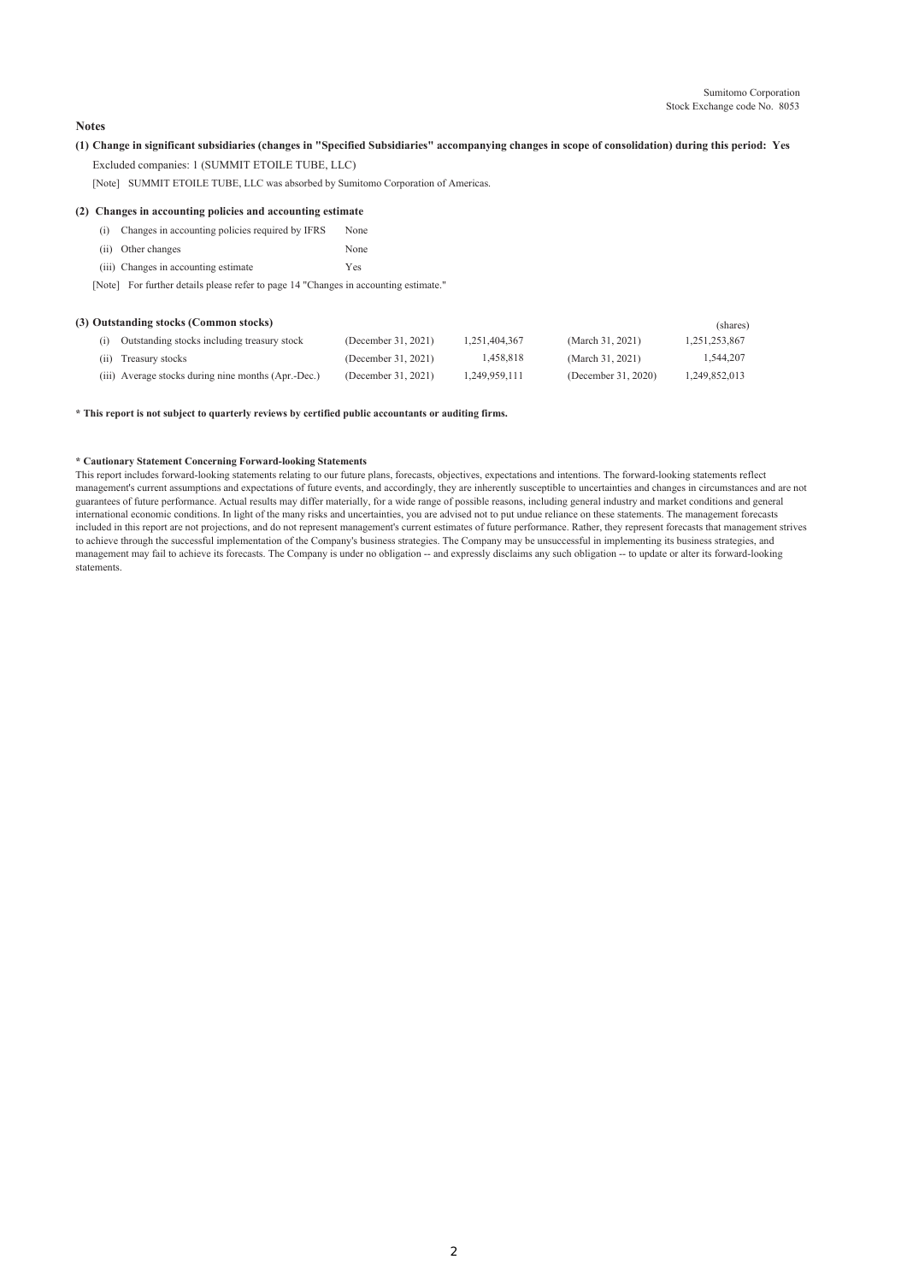### **Notes**

# **(1) Change in significant subsidiaries (changes in "Specified Subsidiaries" accompanying changes in scope of consolidation) during this period: Yes**

Excluded companies: 1 (SUMMIT ETOILE TUBE, LLC)

[Note] SUMMIT ETOILE TUBE, LLC was absorbed by Sumitomo Corporation of Americas.

#### **(2) Changes in accounting policies and accounting estimate**

| (i) Changes in accounting policies required by IFRS | None |
|-----------------------------------------------------|------|
|                                                     |      |

- (ii) Other changes None
- (iii) Changes in accounting estimate Yes

[Note] For further details please refer to page 14 "Changes in accounting estimate."

#### **(3) Outstanding stocks (Common stocks)** (shares)

|                                                     |                     |               |                     | $1 - 2 - 3 - 5 - 7$ |
|-----------------------------------------------------|---------------------|---------------|---------------------|---------------------|
| Outstanding stocks including treasury stock         | (December 31, 2021) | 1.251.404.367 | (March 31, 2021)    | 1.251.253.867       |
| (ii) Treasury stocks                                | (December 31, 2021) | 1.458.818     | (March 31, 2021)    | 1,544,207           |
| (iii) Average stocks during nine months (Apr.-Dec.) | (December 31, 2021) | 1.249.959.111 | (December 31, 2020) | 1.249.852.013       |

#### **\* This report is not subject to quarterly reviews by certified public accountants or auditing firms.**

#### **\* Cautionary Statement Concerning Forward-looking Statements**

This report includes forward-looking statements relating to our future plans, forecasts, objectives, expectations and intentions. The forward-looking statements reflect management's current assumptions and expectations of future events, and accordingly, they are inherently susceptible to uncertainties and changes in circumstances and are not guarantees of future performance. Actual results may differ materially, for a wide range of possible reasons, including general industry and market conditions and general international economic conditions. In light of the many risks and uncertainties, you are advised not to put undue reliance on these statements. The management forecasts included in this report are not projections, and do not represent management's current estimates of future performance. Rather, they represent forecasts that management strives to achieve through the successful implementation of the Company's business strategies. The Company may be unsuccessful in implementing its business strategies, and management may fail to achieve its forecasts. The Company is under no obligation -- and expressly disclaims any such obligation -- to update or alter its forward-looking statements.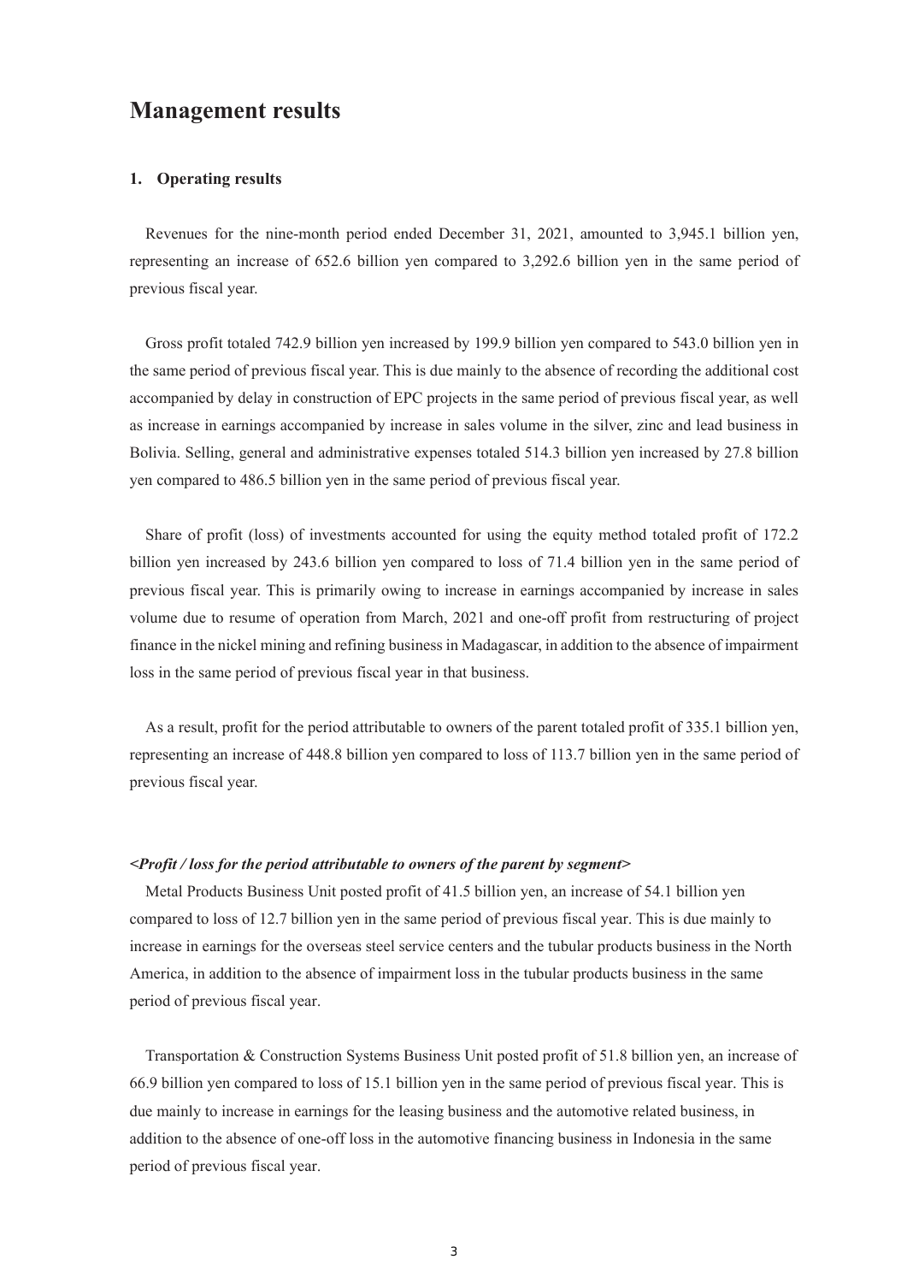# **Management results**

## **1. Operating results**

Revenues for the nine-month period ended December 31, 2021, amounted to 3,945.1 billion yen, representing an increase of 652.6 billion yen compared to 3,292.6 billion yen in the same period of previous fiscal year.

Gross profit totaled 742.9 billion yen increased by 199.9 billion yen compared to 543.0 billion yen in the same period of previous fiscal year. This is due mainly to the absence of recording the additional cost accompanied by delay in construction of EPC projects in the same period of previous fiscal year, as well as increase in earnings accompanied by increase in sales volume in the silver, zinc and lead business in Bolivia. Selling, general and administrative expenses totaled 514.3 billion yen increased by 27.8 billion yen compared to 486.5 billion yen in the same period of previous fiscal year.

Share of profit (loss) of investments accounted for using the equity method totaled profit of 172.2 billion yen increased by 243.6 billion yen compared to loss of 71.4 billion yen in the same period of previous fiscal year. This is primarily owing to increase in earnings accompanied by increase in sales volume due to resume of operation from March, 2021 and one-off profit from restructuring of project finance in the nickel mining and refining business in Madagascar, in addition to the absence of impairment loss in the same period of previous fiscal year in that business.

As a result, profit for the period attributable to owners of the parent totaled profit of 335.1 billion yen, representing an increase of 448.8 billion yen compared to loss of 113.7 billion yen in the same period of previous fiscal year.

### *<Profit / loss for the period attributable to owners of the parent by segment>*

Metal Products Business Unit posted profit of 41.5 billion yen, an increase of 54.1 billion yen compared to loss of 12.7 billion yen in the same period of previous fiscal year. This is due mainly to increase in earnings for the overseas steel service centers and the tubular products business in the North America, in addition to the absence of impairment loss in the tubular products business in the same period of previous fiscal year.

Transportation & Construction Systems Business Unit posted profit of 51.8 billion yen, an increase of 66.9 billion yen compared to loss of 15.1 billion yen in the same period of previous fiscal year. This is due mainly to increase in earnings for the leasing business and the automotive related business, in addition to the absence of one-off loss in the automotive financing business in Indonesia in the same period of previous fiscal year.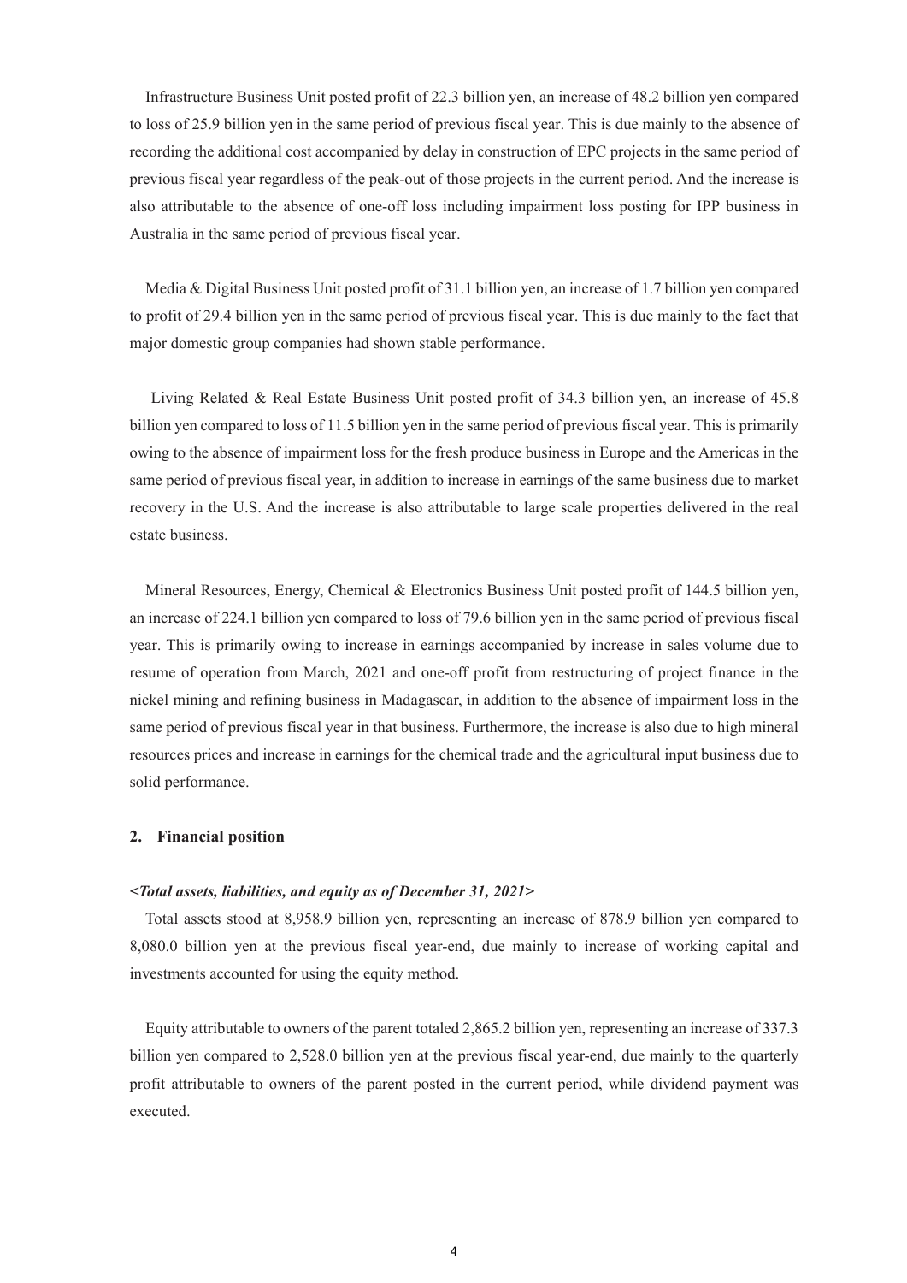Infrastructure Business Unit posted profit of 22.3 billion yen, an increase of 48.2 billion yen compared to loss of 25.9 billion yen in the same period of previous fiscal year. This is due mainly to the absence of recording the additional cost accompanied by delay in construction of EPC projects in the same period of previous fiscal year regardless of the peak-out of those projects in the current period. And the increase is also attributable to the absence of one-off loss including impairment loss posting for IPP business in Australia in the same period of previous fiscal year.

Media & Digital Business Unit posted profit of 31.1 billion yen, an increase of 1.7 billion yen compared to profit of 29.4 billion yen in the same period of previous fiscal year. This is due mainly to the fact that major domestic group companies had shown stable performance.

Living Related & Real Estate Business Unit posted profit of 34.3 billion yen, an increase of 45.8 billion yen compared to loss of 11.5 billion yen in the same period of previous fiscal year. This is primarily owing to the absence of impairment loss for the fresh produce business in Europe and the Americas in the same period of previous fiscal year, in addition to increase in earnings of the same business due to market recovery in the U.S. And the increase is also attributable to large scale properties delivered in the real estate business.

Mineral Resources, Energy, Chemical & Electronics Business Unit posted profit of 144.5 billion yen, an increase of 224.1 billion yen compared to loss of 79.6 billion yen in the same period of previous fiscal year. This is primarily owing to increase in earnings accompanied by increase in sales volume due to resume of operation from March, 2021 and one-off profit from restructuring of project finance in the nickel mining and refining business in Madagascar, in addition to the absence of impairment loss in the same period of previous fiscal year in that business. Furthermore, the increase is also due to high mineral resources prices and increase in earnings for the chemical trade and the agricultural input business due to solid performance.

#### **2. Financial position**

#### *<Total assets, liabilities, and equity as of December 31, 2021>*

Total assets stood at 8,958.9 billion yen, representing an increase of 878.9 billion yen compared to 8,080.0 billion yen at the previous fiscal year-end, due mainly to increase of working capital and investments accounted for using the equity method.

Equity attributable to owners of the parent totaled 2,865.2 billion yen, representing an increase of 337.3 billion yen compared to 2,528.0 billion yen at the previous fiscal year-end, due mainly to the quarterly profit attributable to owners of the parent posted in the current period, while dividend payment was executed.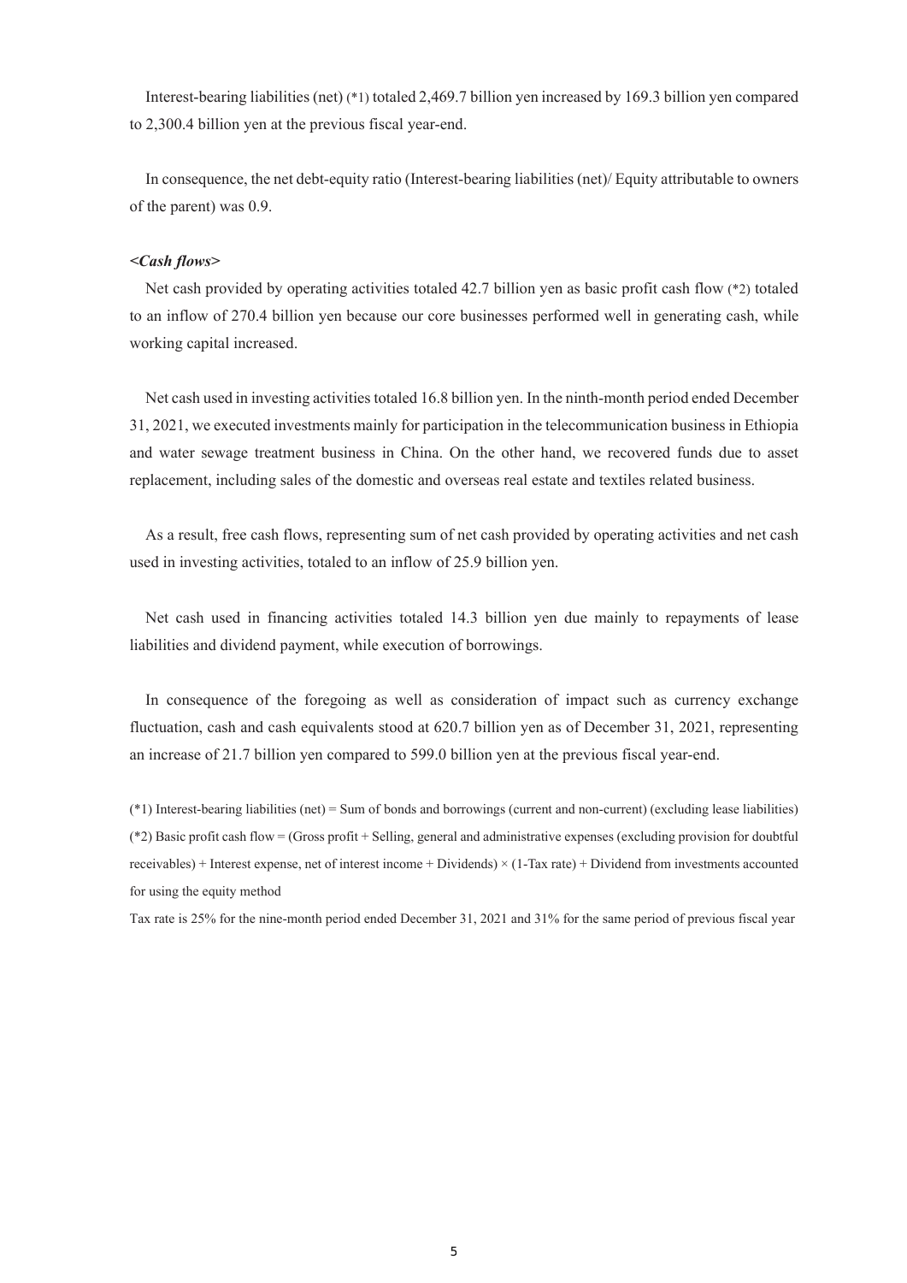Interest-bearing liabilities (net) (\*1) totaled 2,469.7 billion yen increased by 169.3 billion yen compared to 2,300.4 billion yen at the previous fiscal year-end.

In consequence, the net debt-equity ratio (Interest-bearing liabilities (net)/ Equity attributable to owners of the parent) was 0.9.

## *<Cash flows>*

Net cash provided by operating activities totaled 42.7 billion yen as basic profit cash flow (\*2) totaled to an inflow of 270.4 billion yen because our core businesses performed well in generating cash, while working capital increased.

Net cash used in investing activities totaled 16.8 billion yen. In the ninth-month period ended December 31, 2021, we executed investments mainly for participation in the telecommunication business in Ethiopia and water sewage treatment business in China. On the other hand, we recovered funds due to asset replacement, including sales of the domestic and overseas real estate and textiles related business.

As a result, free cash flows, representing sum of net cash provided by operating activities and net cash used in investing activities, totaled to an inflow of 25.9 billion yen.

Net cash used in financing activities totaled 14.3 billion yen due mainly to repayments of lease liabilities and dividend payment, while execution of borrowings.

In consequence of the foregoing as well as consideration of impact such as currency exchange fluctuation, cash and cash equivalents stood at 620.7 billion yen as of December 31, 2021, representing an increase of 21.7 billion yen compared to 599.0 billion yen at the previous fiscal year-end.

(\*1) Interest-bearing liabilities (net) = Sum of bonds and borrowings (current and non-current) (excluding lease liabilities) (\*2) Basic profit cash flow = (Gross profit + Selling, general and administrative expenses (excluding provision for doubtful receivables) + Interest expense, net of interest income + Dividends)  $\times$  (1-Tax rate) + Dividend from investments accounted for using the equity method

Tax rate is 25% for the nine-month period ended December 31, 2021 and 31% for the same period of previous fiscal year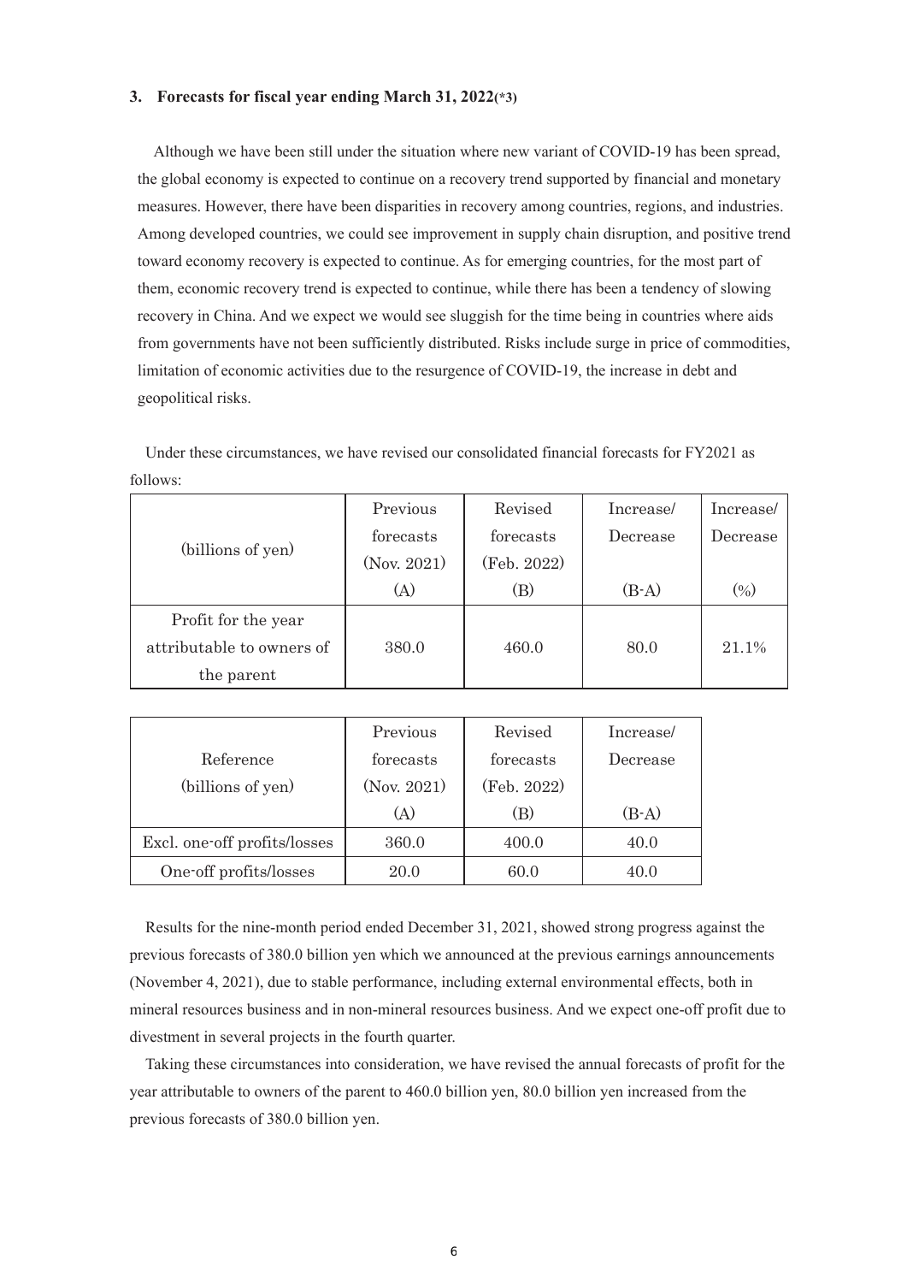## **3. Forecasts for fiscal year ending March 31, 2022(\*3)**

Although we have been still under the situation where new variant of COVID-19 has been spread, the global economy is expected to continue on a recovery trend supported by financial and monetary measures. However, there have been disparities in recovery among countries, regions, and industries. Among developed countries, we could see improvement in supply chain disruption, and positive trend toward economy recovery is expected to continue. As for emerging countries, for the most part of them, economic recovery trend is expected to continue, while there has been a tendency of slowing recovery in China. And we expect we would see sluggish for the time being in countries where aids from governments have not been sufficiently distributed. Risks include surge in price of commodities, limitation of economic activities due to the resurgence of COVID-19, the increase in debt and geopolitical risks.

Under these circumstances, we have revised our consolidated financial forecasts for FY2021 as follows:

|                           | Previous    | Revised     | Increase/ | Increase/ |
|---------------------------|-------------|-------------|-----------|-----------|
|                           | forecasts   | forecasts   | Decrease  | Decrease  |
| (billions of yen)         | (Nov. 2021) | (Feb. 2022) |           |           |
|                           | (A)         | (B)         | $(B-A)$   | $(\%)$    |
| Profit for the year       |             |             |           |           |
| attributable to owners of | 380.0       | 460.0       | 80.0      | 21.1%     |
| the parent                |             |             |           |           |

|                              | Previous    | Revised     | Increase/ |
|------------------------------|-------------|-------------|-----------|
| Reference                    | forecasts   | forecasts   | Decrease  |
| (billions of yen)            | (Nov. 2021) | (Feb. 2022) |           |
|                              | A)          | (B)         | $(B-A)$   |
| Excl. one off profits/losses | 360.0       | 400.0       | 40.0      |
| One-off profits/losses       | 20.0        | 60.0        | 40.0      |

Results for the nine-month period ended December 31, 2021, showed strong progress against the previous forecasts of 380.0 billion yen which we announced at the previous earnings announcements (November 4, 2021), due to stable performance, including external environmental effects, both in mineral resources business and in non-mineral resources business. And we expect one-off profit due to divestment in several projects in the fourth quarter.

Taking these circumstances into consideration, we have revised the annual forecasts of profit for the year attributable to owners of the parent to 460.0 billion yen, 80.0 billion yen increased from the previous forecasts of 380.0 billion yen.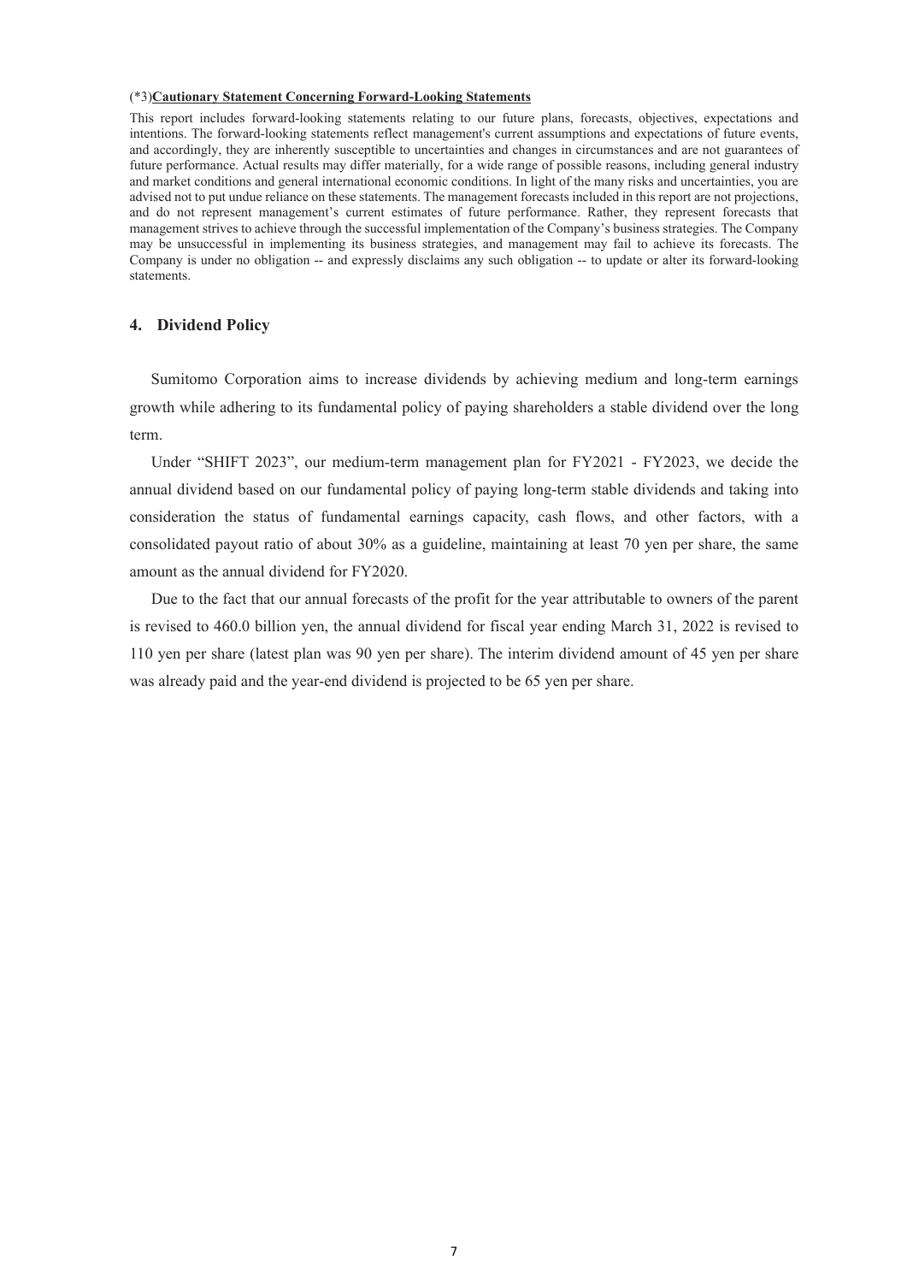## (\*3)**Cautionary Statement Concerning Forward-Looking Statements**

This report includes forward-looking statements relating to our future plans, forecasts, objectives, expectations and intentions. The forward-looking statements reflect management's current assumptions and expectations of future events, and accordingly, they are inherently susceptible to uncertainties and changes in circumstances and are not guarantees of future performance. Actual results may differ materially, for a wide range of possible reasons, including general industry and market conditions and general international economic conditions. In light of the many risks and uncertainties, you are advised not to put undue reliance on these statements. The management forecasts included in this report are not projections, and do not represent management's current estimates of future performance. Rather, they represent forecasts that management strives to achieve through the successful implementation of the Company's business strategies. The Company may be unsuccessful in implementing its business strategies, and management may fail to achieve its forecasts. The Company is under no obligation -- and expressly disclaims any such obligation -- to update or alter its forward-looking statements.

### **4. Dividend Policy**

Sumitomo Corporation aims to increase dividends by achieving medium and long-term earnings growth while adhering to its fundamental policy of paying shareholders a stable dividend over the long term.

Under "SHIFT 2023", our medium-term management plan for FY2021 - FY2023, we decide the annual dividend based on our fundamental policy of paying long-term stable dividends and taking into consideration the status of fundamental earnings capacity, cash flows, and other factors, with a consolidated payout ratio of about 30% as a guideline, maintaining at least 70 yen per share, the same amount as the annual dividend for FY2020.

Due to the fact that our annual forecasts of the profit for the year attributable to owners of the parent is revised to 460.0 billion yen, the annual dividend for fiscal year ending March 31, 2022 is revised to 110 yen per share (latest plan was 90 yen per share). The interim dividend amount of 45 yen per share was already paid and the year-end dividend is projected to be 65 yen per share.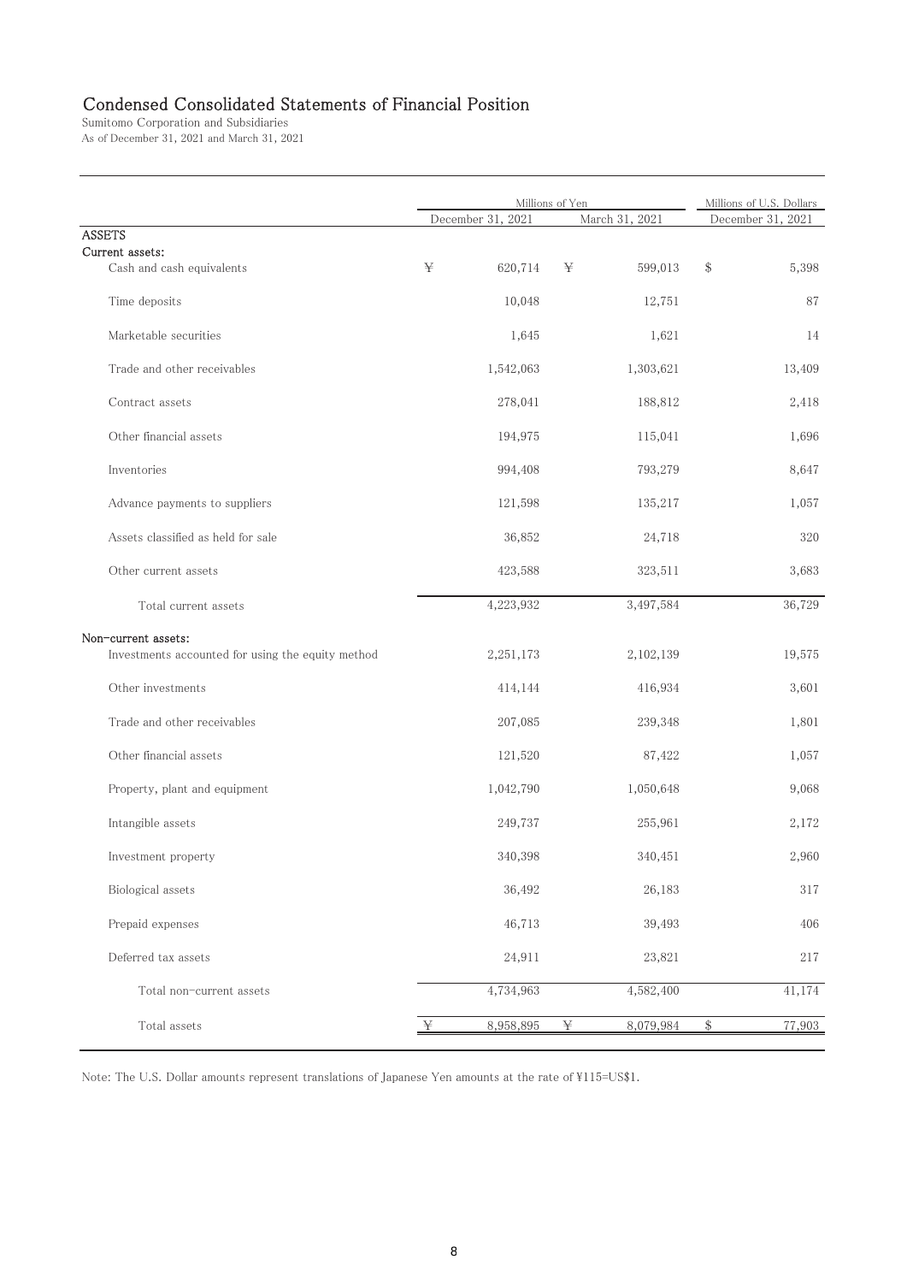# Condensed Consolidated Statements of Financial Position

Sumitomo Corporation and Subsidiaries As of December 31, 2021 and March 31, 2021

|                                                   | Millions of Yen   | Millions of U.S. Dollars |                   |
|---------------------------------------------------|-------------------|--------------------------|-------------------|
|                                                   | December 31, 2021 | March 31, 2021           | December 31, 2021 |
| <b>ASSETS</b>                                     |                   |                          |                   |
| Current assets:                                   |                   |                          |                   |
| Cash and cash equivalents                         | ¥<br>620,714      | 599,013<br>¥             | \$<br>5,398       |
| Time deposits                                     | 10,048            | 12,751                   | 87                |
| Marketable securities                             | 1,645             | 1,621                    | 14                |
| Trade and other receivables                       | 1,542,063         | 1,303,621                | 13,409            |
| Contract assets                                   | 278,041           | 188,812                  | 2,418             |
| Other financial assets                            | 194,975           | 115,041                  | 1,696             |
| Inventories                                       | 994,408           | 793,279                  | 8,647             |
| Advance payments to suppliers                     | 121,598           | 135,217                  | 1,057             |
| Assets classified as held for sale                | 36,852            | 24,718                   | 320               |
| Other current assets                              | 423,588           | 323,511                  | 3,683             |
| Total current assets                              | 4,223,932         | 3,497,584                | 36,729            |
| Non-current assets:                               |                   |                          |                   |
| Investments accounted for using the equity method | 2,251,173         | 2,102,139                | 19,575            |
| Other investments                                 | 414,144           | 416,934                  | 3,601             |
| Trade and other receivables                       | 207,085           | 239,348                  | 1,801             |
| Other financial assets                            | 121,520           | 87,422                   | 1,057             |
| Property, plant and equipment                     | 1,042,790         | 1,050,648                | 9,068             |
| Intangible assets                                 | 249,737           | 255,961                  | 2,172             |
| Investment property                               | 340,398           | 340,451                  | 2,960             |
| Biological assets                                 | 36,492            | 26,183                   | 317               |
| Prepaid expenses                                  | 46,713            | 39,493                   | 406               |
| Deferred tax assets                               | 24,911            | 23,821                   | 217               |
| Total non-current assets                          | 4,734,963         | 4,582,400                | 41,174            |
| Total assets                                      | 8,958,895<br>¥    | ¥<br>8,079,984           | $\$$<br>77,903    |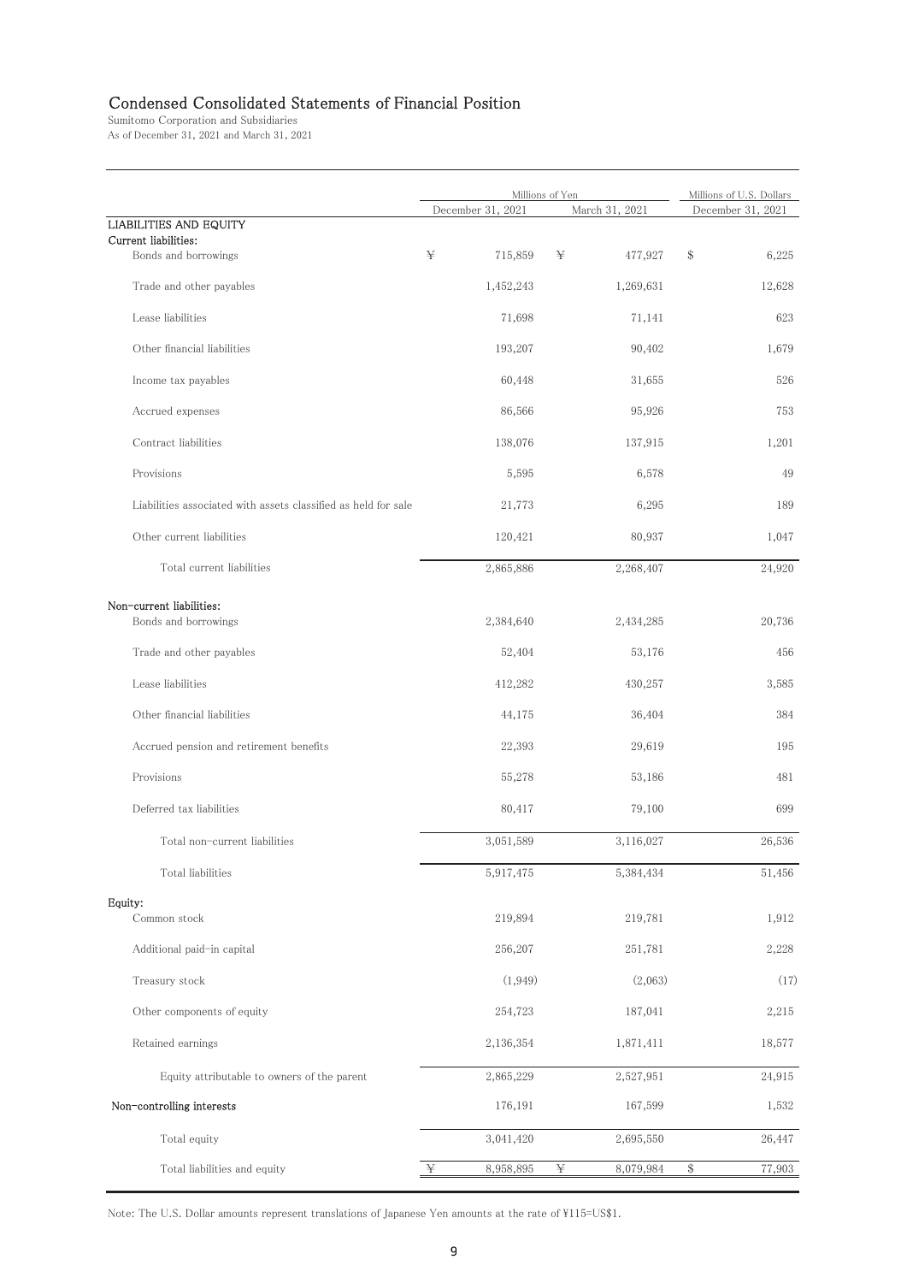# Condensed Consolidated Statements of Financial Position

Sumitomo Corporation and Subsidiaries As of December 31, 2021 and March 31, 2021

|                                                                |                   | Millions of Yen | Millions of U.S. Dollars |
|----------------------------------------------------------------|-------------------|-----------------|--------------------------|
|                                                                | December 31, 2021 | March 31, 2021  | December 31, 2021        |
| <b>LIABILITIES AND EQUITY</b>                                  |                   |                 |                          |
| Current liabilities:<br>Bonds and borrowings                   | ¥<br>715,859      | 477,927<br>¥    | \$<br>6,225              |
| Trade and other payables                                       | 1,452,243         | 1,269,631       | 12,628                   |
| Lease liabilities                                              | 71,698            | 71,141          | 623                      |
| Other financial liabilities                                    | 193,207           | 90,402          | 1,679                    |
| Income tax payables                                            | 60,448            | 31,655          | 526                      |
| Accrued expenses                                               | 86,566            | 95,926          | 753                      |
| Contract liabilities                                           | 138,076           | 137,915         | 1,201                    |
| Provisions                                                     | 5,595             | 6,578           | 49                       |
| Liabilities associated with assets classified as held for sale | 21,773            | 6,295           | 189                      |
| Other current liabilities                                      | 120,421           | 80,937          | 1,047                    |
| Total current liabilities                                      | 2,865,886         | 2,268,407       | 24,920                   |
|                                                                |                   |                 |                          |
| Non-current liabilities:<br>Bonds and borrowings               | 2,384,640         | 2,434,285       | 20,736                   |
| Trade and other payables                                       | 52,404            | 53,176          | 456                      |
| Lease liabilities                                              | 412,282           | 430,257         | 3,585                    |
| Other financial liabilities                                    | 44,175            | 36,404          | 384                      |
| Accrued pension and retirement benefits                        | 22,393            | 29,619          | 195                      |
| Provisions                                                     | 55,278            | 53,186          | 481                      |
| Deferred tax liabilities                                       | 80,417            | 79,100          | 699                      |
| Total non-current liabilities                                  | 3,051,589         | 3,116,027       | 26,536                   |
| Total liabilities                                              | 5,917,475         | 5,384,434       | 51,456                   |
| Equity:                                                        |                   |                 |                          |
| Common stock                                                   | 219,894           | 219,781         | 1,912                    |
| Additional paid-in capital                                     | 256,207           | 251,781         | 2,228                    |
| Treasury stock                                                 | (1, 949)          | (2,063)         | (17)                     |
| Other components of equity                                     | 254,723           | 187,041         | 2,215                    |
| Retained earnings                                              | 2,136,354         | 1,871,411       | 18,577                   |
| Equity attributable to owners of the parent                    | 2,865,229         | 2,527,951       | 24,915                   |
| Non-controlling interests                                      | 176,191           | 167,599         | 1,532                    |
| Total equity                                                   | 3,041,420         | 2,695,550       | 26,447                   |
| Total liabilities and equity                                   | ¥<br>8,958,895    | ¥<br>8,079,984  | $\$$<br>77,903           |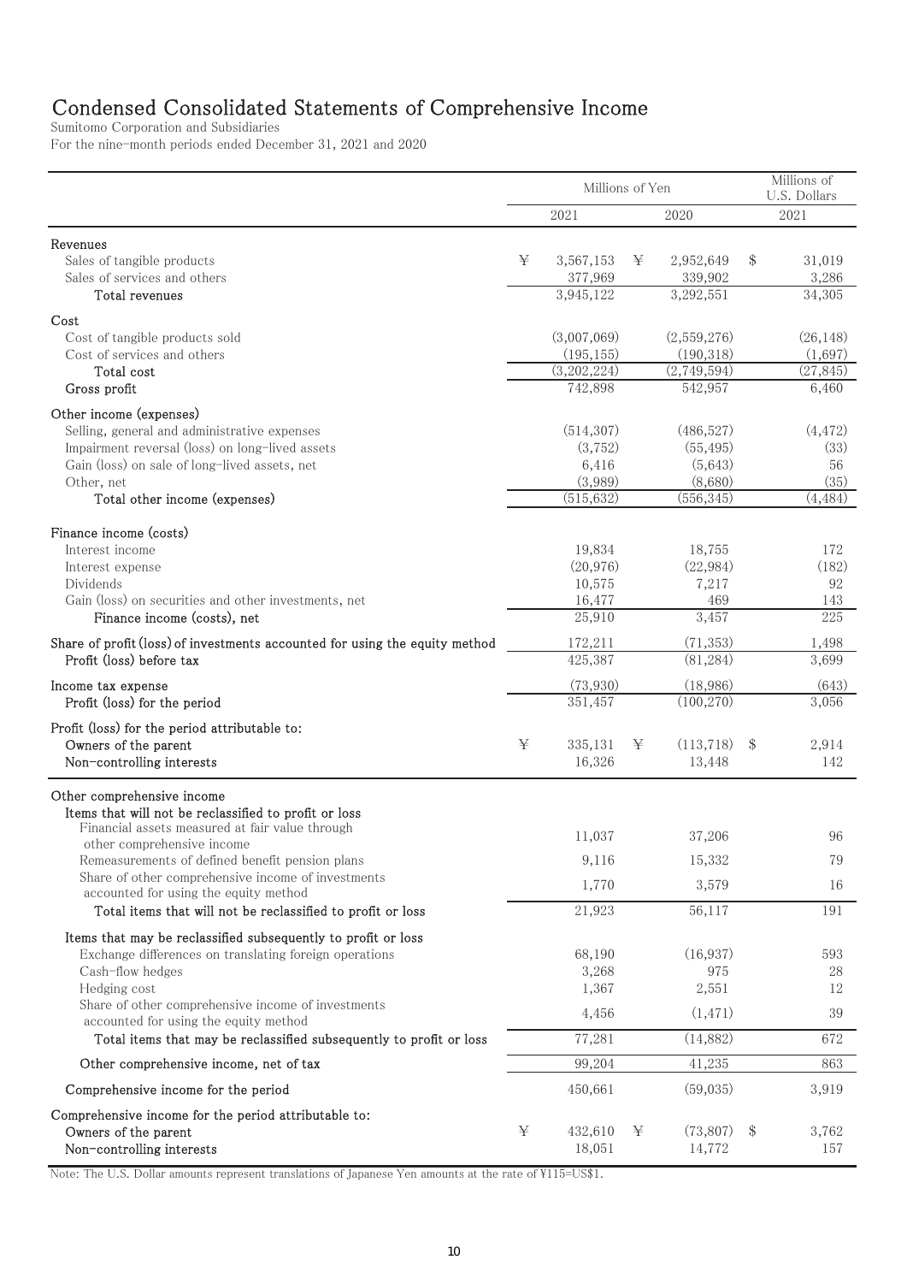# Condensed Consolidated Statements of Comprehensive Income

Sumitomo Corporation and Subsidiaries <del>Herefor</del> the nine-month periods ended December 31, 2021 and 2020

|                                                                               | Millions of Yen |                        |   |                        |       | Millions of<br>U.S. Dollars |  |  |
|-------------------------------------------------------------------------------|-----------------|------------------------|---|------------------------|-------|-----------------------------|--|--|
|                                                                               |                 | 2021                   |   | 2020                   |       | 2021                        |  |  |
| Revenues                                                                      |                 |                        |   |                        |       |                             |  |  |
| Sales of tangible products                                                    | ¥               | 3,567,153              | ¥ | 2,952,649              | \$    | 31,019                      |  |  |
| Sales of services and others                                                  |                 | 377,969                |   | 339,902                |       | 3,286                       |  |  |
| Total revenues                                                                |                 | 3,945,122              |   | 3,292,551              |       | 34,305                      |  |  |
| Cost                                                                          |                 |                        |   |                        |       |                             |  |  |
| Cost of tangible products sold                                                |                 | (3,007,069)            |   | (2,559,276)            |       | (26, 148)                   |  |  |
| Cost of services and others<br>Total cost                                     |                 | (195, 155)             |   | (190, 318)             |       | (1,697)                     |  |  |
| Gross profit                                                                  |                 | (3,202,224)<br>742,898 |   | (2,749,594)<br>542,957 |       | (27, 845)<br>6,460          |  |  |
|                                                                               |                 |                        |   |                        |       |                             |  |  |
| Other income (expenses)<br>Selling, general and administrative expenses       |                 | (514, 307)             |   | (486, 527)             |       | (4, 472)                    |  |  |
| Impairment reversal (loss) on long-lived assets                               |                 | (3,752)                |   | (55, 495)              |       | (33)                        |  |  |
| Gain (loss) on sale of long-lived assets, net                                 |                 | 6,416                  |   | (5,643)                |       | 56                          |  |  |
| Other, net                                                                    |                 | (3,989)                |   | (8,680)                |       | (35)                        |  |  |
| Total other income (expenses)                                                 |                 | (515, 632)             |   | (556, 345)             |       | (4, 484)                    |  |  |
| Finance income (costs)                                                        |                 |                        |   |                        |       |                             |  |  |
| Interest income                                                               |                 | 19,834                 |   | 18,755                 |       | 172                         |  |  |
| Interest expense                                                              |                 | (20, 976)              |   | (22, 984)              |       | (182)                       |  |  |
| Dividends                                                                     |                 | 10,575                 |   | 7,217                  |       | 92                          |  |  |
| Gain (loss) on securities and other investments, net                          |                 | 16,477                 |   | 469                    |       | 143<br>225                  |  |  |
| Finance income (costs), net                                                   |                 | 25,910                 |   | 3,457                  |       |                             |  |  |
| Share of profit (loss) of investments accounted for using the equity method   |                 | 172,211                |   | (71, 353)              |       | 1,498                       |  |  |
| Profit (loss) before tax                                                      |                 | 425,387                |   | (81, 284)              |       | 3,699                       |  |  |
| Income tax expense                                                            |                 | (73,930)               |   | (18,986)               |       | (643)                       |  |  |
| Profit (loss) for the period                                                  |                 | 351,457                |   | (100, 270)             |       | 3,056                       |  |  |
| Profit (loss) for the period attributable to:                                 |                 |                        |   |                        |       |                             |  |  |
| Owners of the parent                                                          | ¥               | 335,131                | ¥ | (113, 718)             | \$    | 2,914                       |  |  |
| Non-controlling interests                                                     |                 | 16,326                 |   | 13,448                 |       | 142                         |  |  |
| Other comprehensive income                                                    |                 |                        |   |                        |       |                             |  |  |
| Items that will not be reclassified to profit or loss                         |                 |                        |   |                        |       |                             |  |  |
| Financial assets measured at fair value through<br>other comprehensive income |                 | 11,037                 |   | 37,206                 |       | 96                          |  |  |
| Remeasurements of defined benefit pension plans                               |                 | 9,116                  |   | 15,332                 |       | 79                          |  |  |
| Share of other comprehensive income of investments                            |                 | 1,770                  |   | 3,579                  |       | 16                          |  |  |
| accounted for using the equity method                                         |                 |                        |   |                        |       |                             |  |  |
| Total items that will not be reclassified to profit or loss                   |                 | 21,923                 |   | 56,117                 |       | 191                         |  |  |
| Items that may be reclassified subsequently to profit or loss                 |                 |                        |   |                        |       |                             |  |  |
| Exchange differences on translating foreign operations<br>Cash-flow hedges    |                 | 68,190<br>3,268        |   | (16, 937)<br>975       |       | 593<br>28                   |  |  |
| Hedging cost                                                                  |                 | 1,367                  |   | 2,551                  |       | 12                          |  |  |
| Share of other comprehensive income of investments                            |                 |                        |   |                        |       |                             |  |  |
| accounted for using the equity method                                         |                 | 4,456                  |   | (1, 471)               |       | 39                          |  |  |
| Total items that may be reclassified subsequently to profit or loss           |                 | 77,281                 |   | (14,882)               |       | 672                         |  |  |
| Other comprehensive income, net of tax                                        |                 | 99,204                 |   | 41,235                 |       | 863                         |  |  |
| Comprehensive income for the period                                           |                 | 450,661                |   | (59,035)               |       | 3,919                       |  |  |
| Comprehensive income for the period attributable to:                          |                 |                        |   |                        |       |                             |  |  |
| Owners of the parent                                                          | ¥               | 432,610                | ¥ | (73,807)               | $\$\$ | 3,762                       |  |  |
| Non-controlling interests                                                     |                 | 18,051                 |   | 14,772                 |       | 157                         |  |  |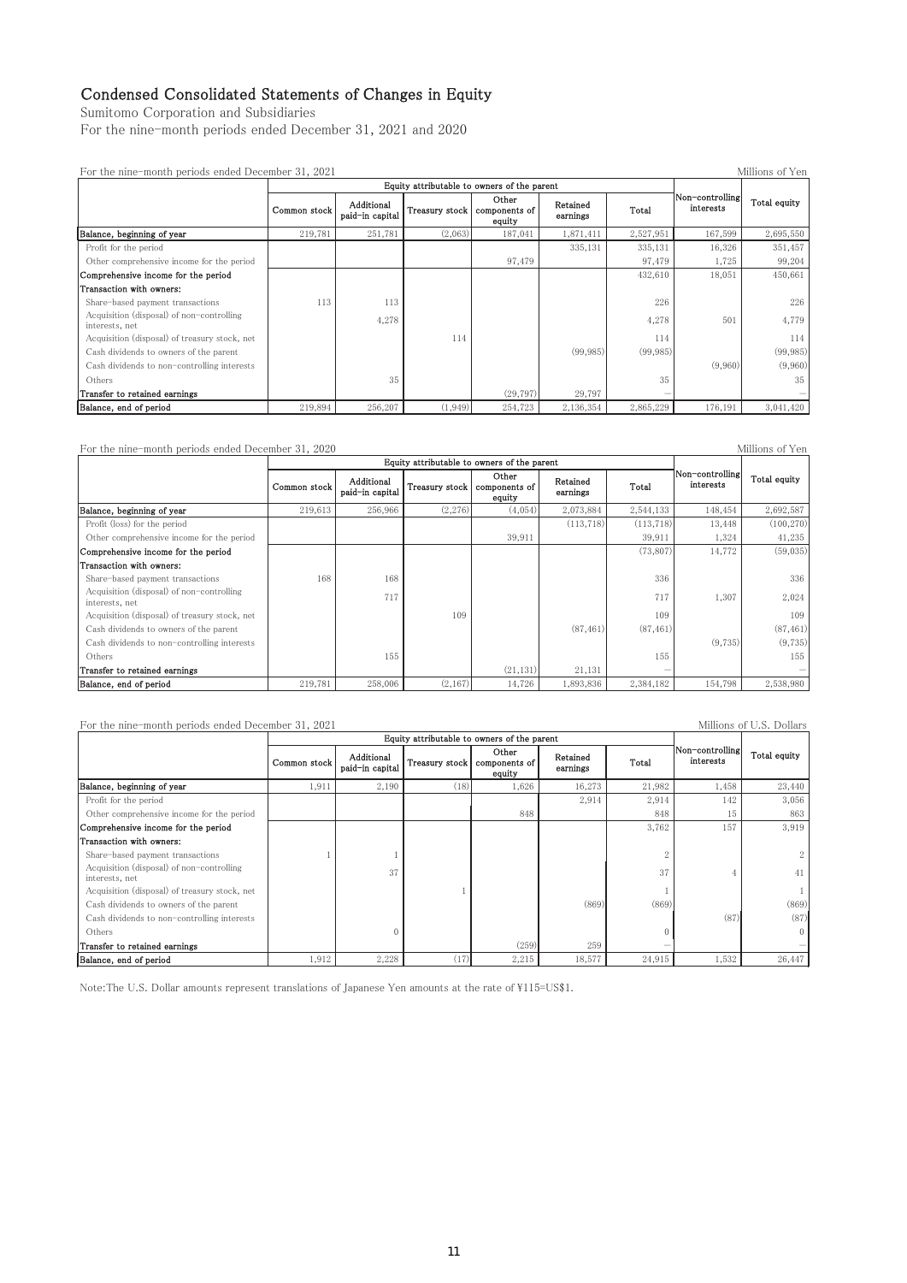## Condensed Consolidated Statements of Changes in Equity

Sumitomo Corporation and Subsidiaries

For the nine-month periods ended December 31, 2021 and 2020

| Millions of Yen<br>For the nine-month periods ended December 31, 2021 |              |                                             |                |                                  |                      |           |                              |              |  |  |  |
|-----------------------------------------------------------------------|--------------|---------------------------------------------|----------------|----------------------------------|----------------------|-----------|------------------------------|--------------|--|--|--|
|                                                                       |              | Equity attributable to owners of the parent |                |                                  |                      |           |                              |              |  |  |  |
|                                                                       | Common stock | Additional<br>paid-in capital               | Treasury stock | Other<br>components of<br>equity | Retained<br>earnings | Total     | Non-controlling<br>interests | Total equity |  |  |  |
| Balance, beginning of year                                            | 219,781      | 251,781                                     | (2,063)        | 187,041                          | 1,871,411            | 2,527,951 | 167,599                      | 2,695,550    |  |  |  |
| Profit for the period                                                 |              |                                             |                |                                  | 335,131              | 335,131   | 16,326                       | 351,457      |  |  |  |
| Other comprehensive income for the period                             |              |                                             |                | 97,479                           |                      | 97,479    | 1,725                        | 99,204       |  |  |  |
| Comprehensive income for the period                                   |              |                                             |                |                                  |                      | 432,610   | 18,051                       | 450,661      |  |  |  |
| Transaction with owners:                                              |              |                                             |                |                                  |                      |           |                              |              |  |  |  |
| Share-based payment transactions                                      | 113          | 113                                         |                |                                  |                      | 226       |                              | 226          |  |  |  |
| Acquisition (disposal) of non-controlling<br>interests, net           |              | 4,278                                       |                |                                  |                      | 4,278     | 501                          | 4,779        |  |  |  |
| Acquisition (disposal) of treasury stock, net                         |              |                                             | 114            |                                  |                      | 114       |                              | 114          |  |  |  |
| Cash dividends to owners of the parent                                |              |                                             |                |                                  | (99, 985)            | (99, 985) |                              | (99, 985)    |  |  |  |
| Cash dividends to non-controlling interests                           |              |                                             |                |                                  |                      |           | (9,960)                      | (9,960)      |  |  |  |
| Others                                                                |              | 35                                          |                |                                  |                      | 35        |                              | 35           |  |  |  |
| Transfer to retained earnings                                         |              |                                             |                | (29, 797)                        | 29,797               |           |                              |              |  |  |  |
| Balance, end of period                                                | 219,894      | 256,207                                     | (1, 949)       | 254,723                          | 2,136,354            | 2,865,229 | 176,191                      | 3,041,420    |  |  |  |

For the nine-month periods ended December 31, 2020

|                                                             |              | Equity attributable to owners of the parent |                |                                  |                      |            |                              |              |  |  |
|-------------------------------------------------------------|--------------|---------------------------------------------|----------------|----------------------------------|----------------------|------------|------------------------------|--------------|--|--|
|                                                             | Common stock | Additional<br>paid-in capital               | Treasury stock | Other<br>components of<br>equity | Retained<br>earnings | Total      | Non-controlling<br>interests | Total equity |  |  |
| Balance, beginning of year                                  | 219,613      | 256,966                                     | (2,276)        | (4,054)                          | 2,073,884            | 2,544,133  | 148,454                      | 2,692,587    |  |  |
| Profit (loss) for the period                                |              |                                             |                |                                  | (113, 718)           | (113, 718) | 13,448                       | (100, 270)   |  |  |
| Other comprehensive income for the period                   |              |                                             |                | 39,911                           |                      | 39,911     | 1,324                        | 41,235       |  |  |
| Comprehensive income for the period                         |              |                                             |                |                                  |                      | (73, 807)  | 14,772                       | (59,035)     |  |  |
| Transaction with owners:                                    |              |                                             |                |                                  |                      |            |                              |              |  |  |
| Share-based payment transactions                            | 168          | 168                                         |                |                                  |                      | 336        |                              | 336          |  |  |
| Acquisition (disposal) of non-controlling<br>interests, net |              | 717                                         |                |                                  |                      | 717        | 1,307                        | 2,024        |  |  |
| Acquisition (disposal) of treasury stock, net               |              |                                             | 109            |                                  |                      | 109        |                              | 109          |  |  |
| Cash dividends to owners of the parent                      |              |                                             |                |                                  | (87, 461)            | (87, 461)  |                              | (87, 461)    |  |  |
| Cash dividends to non-controlling interests                 |              |                                             |                |                                  |                      |            | (9,735)                      | (9,735)      |  |  |
| Others                                                      |              | 155                                         |                |                                  |                      | 155        |                              | 155          |  |  |
| Transfer to retained earnings                               |              |                                             |                | (21, 131)                        | 21,131               |            |                              |              |  |  |
| Balance, end of period                                      | 219,781      | 258,006                                     | (2,167)        | 14,726                           | 1,893,836            | 2,384,182  | 154,798                      | 2,538,980    |  |  |

For the nine-month periods ended December 31, 2021 Millions of U.S. Dollars Common stock Additional Auditional Treasury stock Other ponents of equity Retained Retained <br>earnings Total **Balance, beginning of year** <br> **Example 1.911**  $\begin{bmatrix} 2,190 \\ 2,190 \end{bmatrix}$   $\begin{bmatrix} 1,626 \\ 1,6273 \end{bmatrix}$   $\begin{bmatrix} 1,458 \\ 2,140 \end{bmatrix}$   $\begin{bmatrix} 1,458 \\ 2,440 \end{bmatrix}$ Profit for the period 3.056 Other comprehensive income for the period  $\begin{bmatrix} 1 & 1 & 1 \\ 1 & 1 & 1 \\ 1 & 1 & 1 \end{bmatrix}$ Comprehensive income for the period and the set of the period and the set of the period and the set of the period and the set of the set of the set of the set of the set of the period and the set of the period and the set Transaction with owners: 䚷㻿㼔㼍㼞㼑㻙㼎㼍㼟㼑㼐㻌㼜㼍㼥㼙㼑㼚㼠㻌㼠㼞㼍㼚㼟㼍㼏㼠㼕㼛㼚㼟 㻝㻝 㻞 㻞 Acquisition (disposal) of non-controlling <del>N</del>cquisition (supposar) of non-controlling the set of the set of the set of the set of the set of the set of the set of the set of the set of the set of the set of the set of the set of the set of the set of the set of t Acquisition (disposal) of treasury stock, net the set of the set of the set of the set of the set of the set of the set of the set of the set of the set of the set of the set of the set of the set of the set of the set of Cash dividends to owners of the parent and the community of the parent and the community of the parent and the community of the community of the community of the community of the community of the community of the community Cash dividends to non-controlling interests (87) (87) (87) Others Content of the content of the content of the content of the content of the content of the content of the content of the content of the content of the content of the content of the content of the content of the conte Transfer to retained earnings and the contract of the contract of the contract of the contract of the contract of the contract of the contract of the contract of the contract of the contract of the contract of the contract **Balance, end of period** 1,912 2,228 (17) 2,215 18,577 24,915 1,532 26,447 Equity attributable to owners of the parent Non-controllin<br>interests Total equity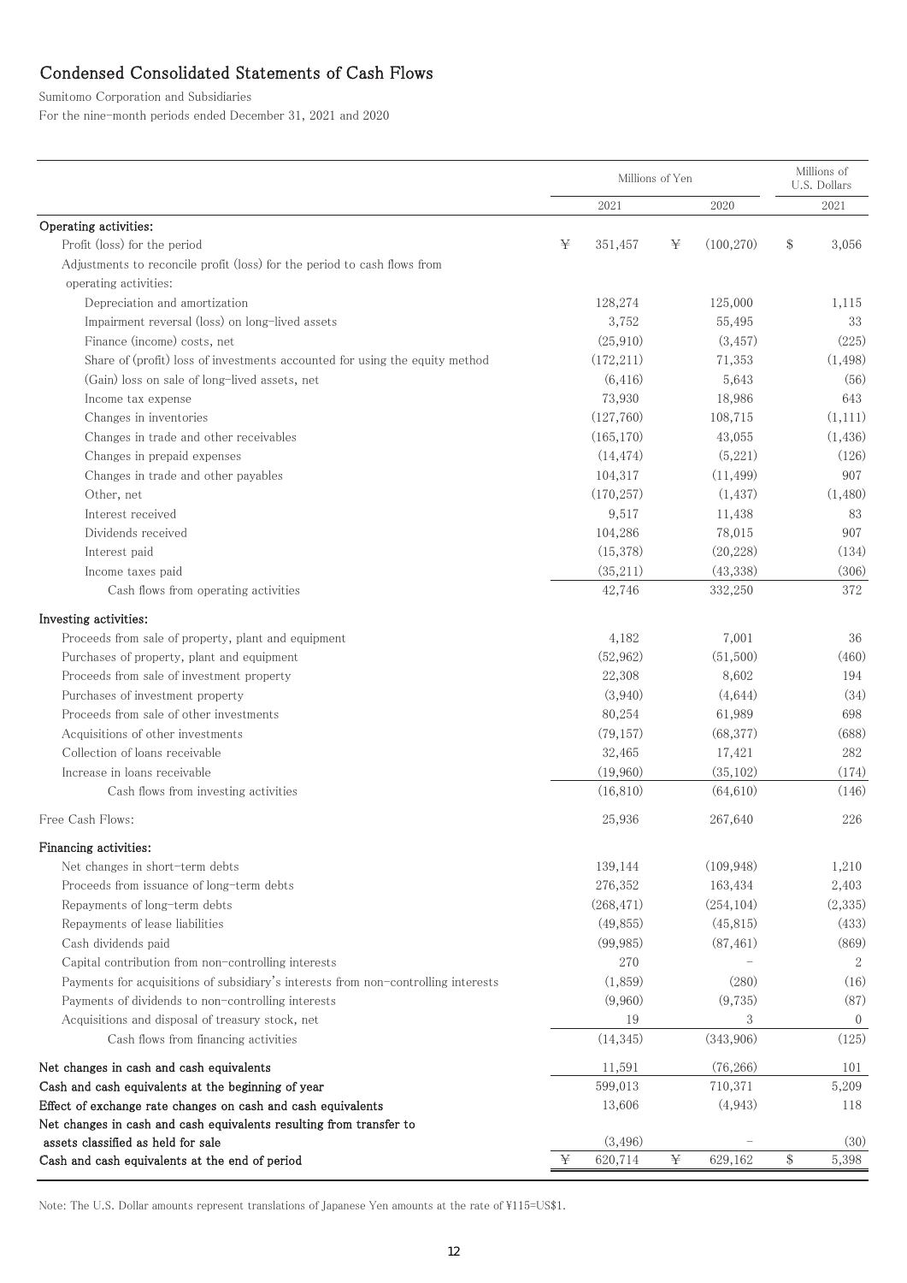# Condensed Consolidated Statements of Cash Flows

Sumitomo Corporation and Subsidiaries

For the nine-month periods ended December 31, 2021 and 2020

|                                                                                                           |   | Millions of Yen | Millions of<br>U.S. Dollars |            |       |                  |
|-----------------------------------------------------------------------------------------------------------|---|-----------------|-----------------------------|------------|-------|------------------|
|                                                                                                           |   | 2021            |                             | 2020       |       | 2021             |
| Operating activities:                                                                                     |   |                 |                             |            |       |                  |
| Profit (loss) for the period                                                                              | ¥ | 351,457         | ¥                           | (100, 270) | $\$\$ | 3,056            |
| Adjustments to reconcile profit (loss) for the period to cash flows from                                  |   |                 |                             |            |       |                  |
| operating activities:                                                                                     |   |                 |                             |            |       |                  |
| Depreciation and amortization                                                                             |   | 128,274         |                             | 125,000    |       | 1,115            |
| Impairment reversal (loss) on long-lived assets                                                           |   | 3,752           |                             | 55,495     |       | 33               |
| Finance (income) costs, net                                                                               |   | (25, 910)       |                             | (3, 457)   |       | (225)            |
| Share of (profit) loss of investments accounted for using the equity method                               |   | (172, 211)      |                             | 71,353     |       | (1, 498)         |
| (Gain) loss on sale of long-lived assets, net                                                             |   | (6, 416)        |                             | 5,643      |       | (56)             |
| Income tax expense                                                                                        |   | 73,930          |                             | 18,986     |       | 643              |
| Changes in inventories                                                                                    |   | (127,760)       |                             | 108,715    |       | (1,111)          |
| Changes in trade and other receivables                                                                    |   | (165, 170)      |                             | 43,055     |       | (1, 436)         |
| Changes in prepaid expenses                                                                               |   | (14, 474)       |                             | (5,221)    |       | (126)            |
| Changes in trade and other payables                                                                       |   | 104,317         |                             | (11, 499)  |       | 907              |
| Other, net                                                                                                |   | (170, 257)      |                             | (1, 437)   |       | (1,480)          |
| Interest received                                                                                         |   | 9,517           |                             | 11,438     |       | 83               |
| Dividends received                                                                                        |   | 104,286         |                             | 78,015     |       | 907              |
| Interest paid                                                                                             |   | (15,378)        |                             | (20, 228)  |       | (134)            |
| Income taxes paid                                                                                         |   | (35,211)        |                             | (43, 338)  |       | (306)            |
| Cash flows from operating activities                                                                      |   | 42,746          |                             | 332,250    |       | 372              |
| Investing activities:                                                                                     |   |                 |                             |            |       |                  |
| Proceeds from sale of property, plant and equipment                                                       |   | 4,182           |                             | 7,001      |       | 36               |
| Purchases of property, plant and equipment                                                                |   | (52, 962)       |                             | (51,500)   |       | (460)            |
| Proceeds from sale of investment property                                                                 |   | 22,308          |                             | 8,602      |       | 194              |
| Purchases of investment property                                                                          |   | (3,940)         |                             | (4,644)    |       | (34)             |
| Proceeds from sale of other investments                                                                   |   | 80,254          |                             | 61,989     |       | 698              |
| Acquisitions of other investments                                                                         |   | (79, 157)       |                             | (68, 377)  |       | (688)            |
| Collection of loans receivable                                                                            |   | 32,465          |                             | 17,421     |       | 282              |
| Increase in loans receivable                                                                              |   | (19,960)        |                             | (35, 102)  |       | (174)            |
| Cash flows from investing activities                                                                      |   | (16, 810)       |                             | (64, 610)  |       | (146)            |
| Free Cash Flows:                                                                                          |   | 25,936          |                             | 267,640    |       | 226              |
|                                                                                                           |   |                 |                             |            |       |                  |
| Financing activities:                                                                                     |   |                 |                             |            |       |                  |
| Net changes in short-term debts                                                                           |   | 139,144         |                             | (109, 948) |       | 1,210            |
| Proceeds from issuance of long-term debts                                                                 |   | 276,352         |                             | 163,434    |       | 2,403            |
| Repayments of long-term debts                                                                             |   | (268, 471)      |                             | (254, 104) |       | (2,335)          |
| Repayments of lease liabilities                                                                           |   | (49, 855)       |                             | (45, 815)  |       | (433)            |
| Cash dividends paid                                                                                       |   | (99, 985)       |                             | (87, 461)  |       | (869)            |
| Capital contribution from non-controlling interests                                                       |   | 270             |                             |            |       | 2                |
| Payments for acquisitions of subsidiary's interests from non-controlling interests                        |   | (1,859)         |                             | (280)      |       | (16)             |
| Payments of dividends to non-controlling interests                                                        |   | (9,960)         |                             | (9,735)    |       | (87)             |
| Acquisitions and disposal of treasury stock, net                                                          |   | 19              |                             | 3          |       | $\boldsymbol{0}$ |
| Cash flows from financing activities                                                                      |   | (14, 345)       |                             | (343,906)  |       | (125)            |
| Net changes in cash and cash equivalents                                                                  |   | 11,591          |                             | (76, 266)  |       | 101              |
| Cash and cash equivalents at the beginning of year                                                        |   | 599,013         |                             | 710,371    |       | 5,209            |
| Effect of exchange rate changes on cash and cash equivalents                                              |   | 13,606          |                             | (4,943)    |       | 118              |
| Net changes in cash and cash equivalents resulting from transfer to<br>assets classified as held for sale |   | (3, 496)        |                             |            |       | (30)             |
| Cash and cash equivalents at the end of period                                                            | ¥ | 620,714         | ¥                           | 629,162    | $\$\$ | 5,398            |
|                                                                                                           |   |                 |                             |            |       |                  |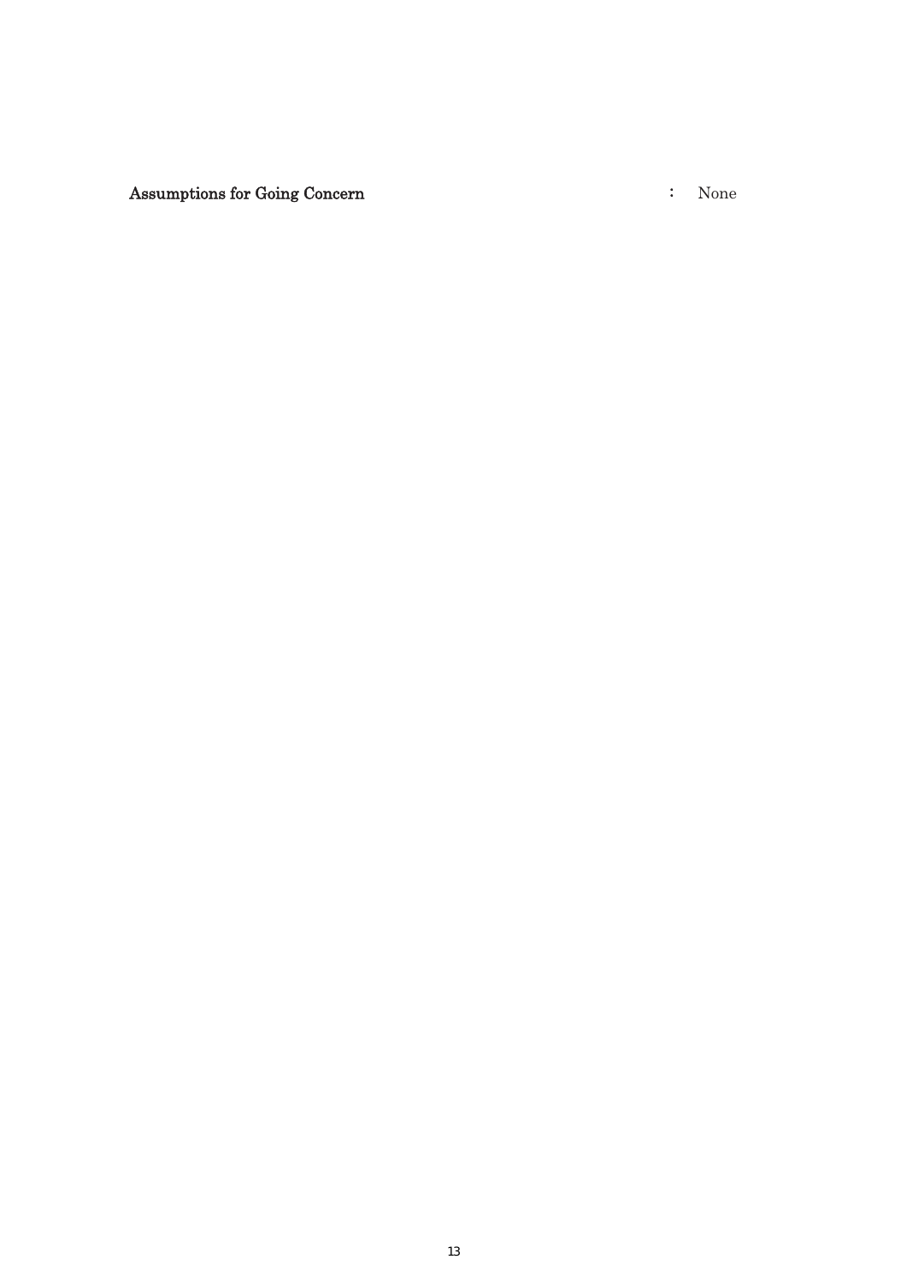Assumptions for Going Concern  $\qquad \qquad : \quad$  None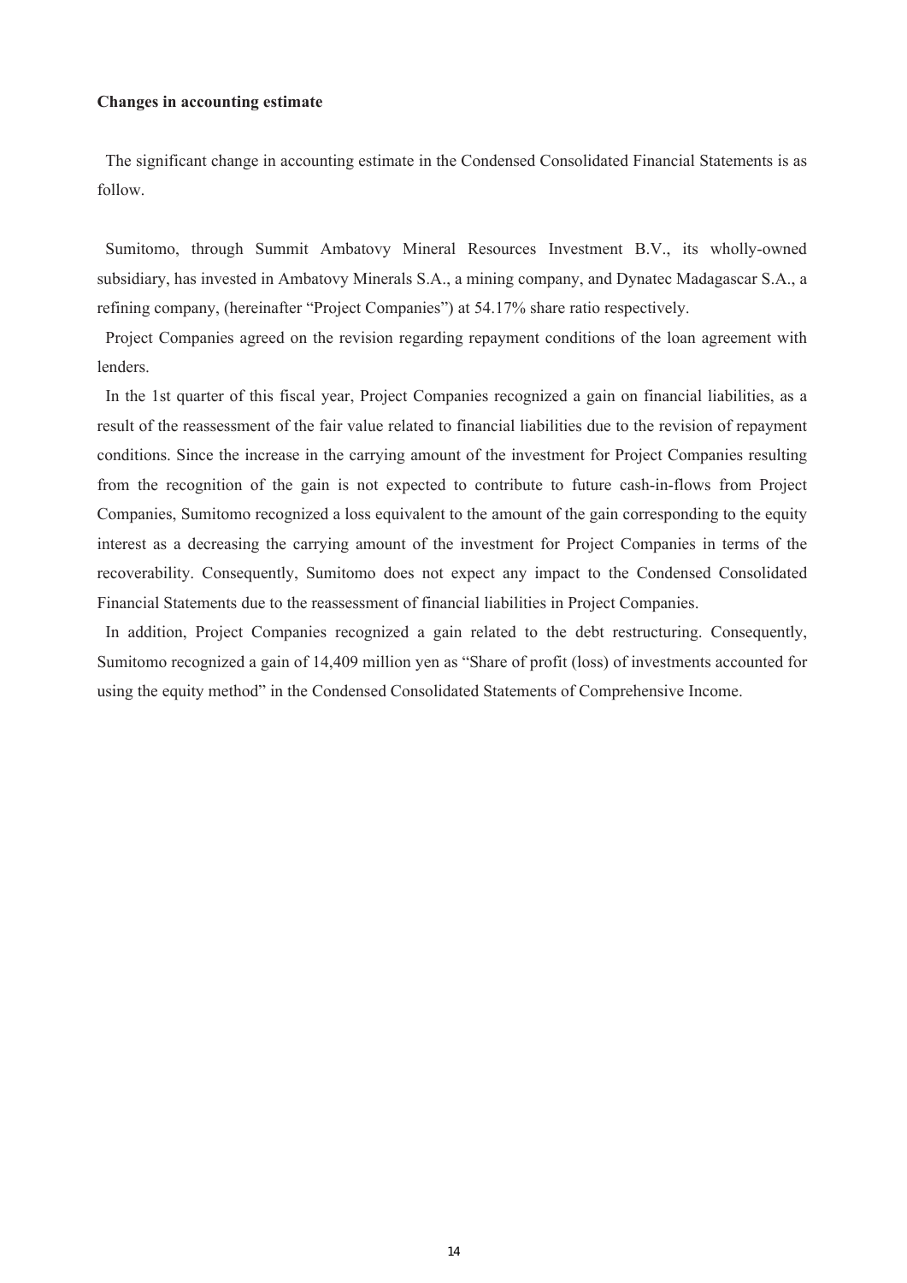## **Changes in accounting estimate**

The significant change in accounting estimate in the Condensed Consolidated Financial Statements is as follow.

Sumitomo, through Summit Ambatovy Mineral Resources Investment B.V., its wholly-owned subsidiary, has invested in Ambatovy Minerals S.A., a mining company, and Dynatec Madagascar S.A., a refining company, (hereinafter "Project Companies") at 54.17% share ratio respectively.

Project Companies agreed on the revision regarding repayment conditions of the loan agreement with lenders.

In the 1st quarter of this fiscal year, Project Companies recognized a gain on financial liabilities, as a result of the reassessment of the fair value related to financial liabilities due to the revision of repayment conditions. Since the increase in the carrying amount of the investment for Project Companies resulting from the recognition of the gain is not expected to contribute to future cash-in-flows from Project Companies, Sumitomo recognized a loss equivalent to the amount of the gain corresponding to the equity interest as a decreasing the carrying amount of the investment for Project Companies in terms of the recoverability. Consequently, Sumitomo does not expect any impact to the Condensed Consolidated Financial Statements due to the reassessment of financial liabilities in Project Companies.

In addition, Project Companies recognized a gain related to the debt restructuring. Consequently, Sumitomo recognized a gain of 14,409 million yen as "Share of profit (loss) of investments accounted for using the equity method" in the Condensed Consolidated Statements of Comprehensive Income.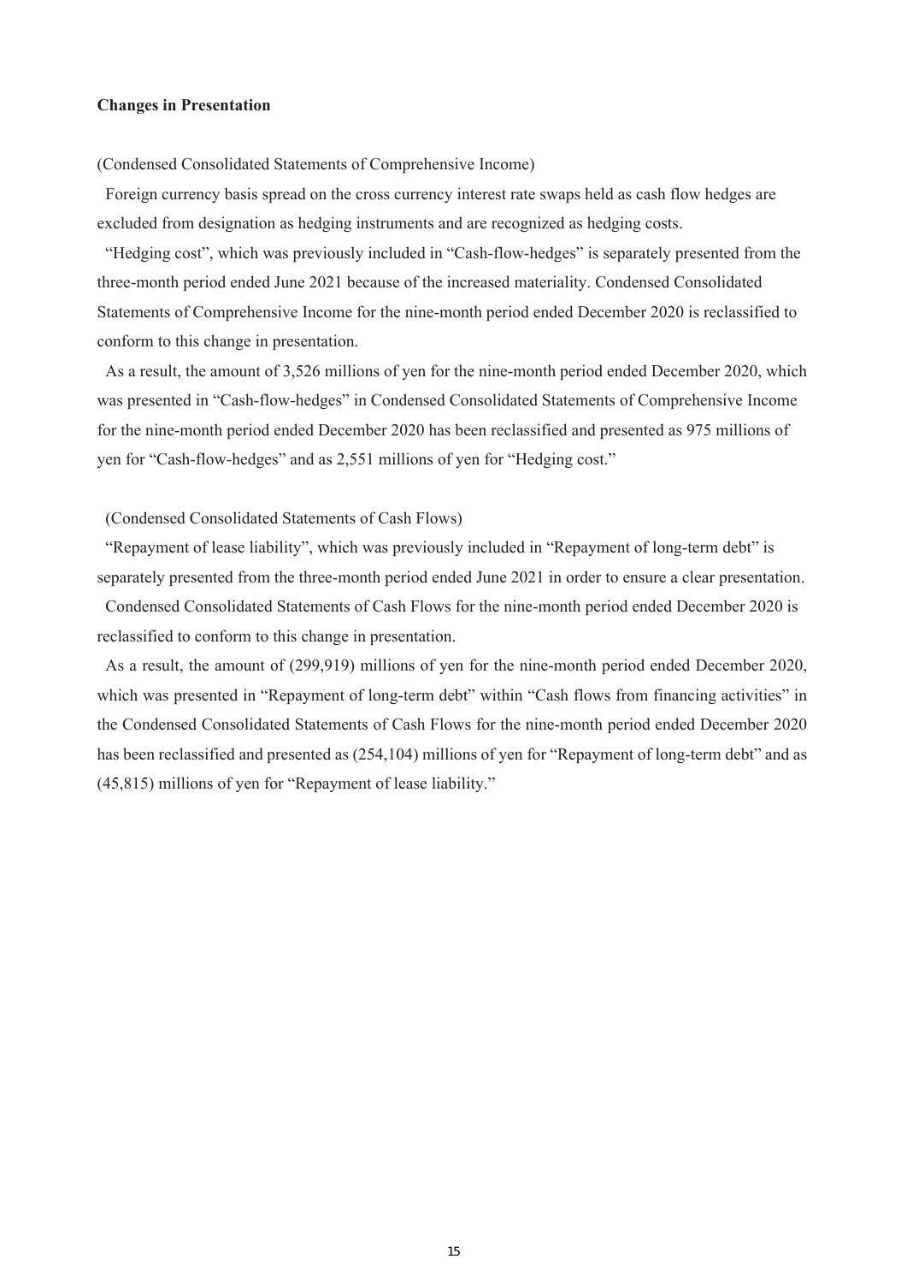## **Changes in Presentation**

(Condensed Consolidated Statements of Comprehensive Income)

Foreign currency basis spread on the cross currency interest rate swaps held as cash flow hedges are excluded from designation as hedging instruments and are recognized as hedging costs.

"Hedging cost", which was previously included in "Cash-flow-hedges" is separately presented from the three-month period ended June 2021 because of the increased materiality. Condensed Consolidated Statements of Comprehensive Income for the nine-month period ended December 2020 is reclassified to conform to this change in presentation.

As a result, the amount of 3,526 millions of yen for the nine-month period ended December 2020, which was presented in "Cash-flow-hedges" in Condensed Consolidated Statements of Comprehensive Income for the nine-month period ended December 2020 has been reclassified and presented as 975 millions of yen for "Cash-flow-hedges" and as 2,551 millions of yen for "Hedging cost."

## (Condensed Consolidated Statements of Cash Flows)

"Repayment of lease liability", which was previously included in "Repayment of long-term debt" is separately presented from the three-month period ended June 2021 in order to ensure a clear presentation.

Condensed Consolidated Statements of Cash Flows for the nine-month period ended December 2020 is reclassified to conform to this change in presentation.

As a result, the amount of (299,919) millions of yen for the nine-month period ended December 2020, which was presented in "Repayment of long-term debt" within "Cash flows from financing activities" in the Condensed Consolidated Statements of Cash Flows for the nine-month period ended December 2020 has been reclassified and presented as (254,104) millions of yen for "Repayment of long-term debt" and as (45,815) millions of yen for "Repayment of lease liability."